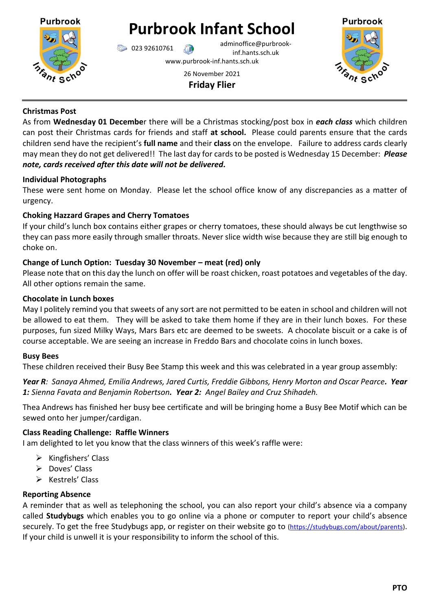

# **Purbrook Infant School**

023 92610761 adminoffice@purbrookinf.hants.sch.uk

www.purbrook-inf.hants.sch.uk



26 November 2021 **Friday Flier**

#### **Christmas Post**

As from **Wednesday 01 Decembe**r there will be a Christmas stocking/post box in *each class* which children can post their Christmas cards for friends and staff **at school.** Please could parents ensure that the cards children send have the recipient's **full name** and their **class** on the envelope. Failure to address cards clearly may mean they do not get delivered!! The last day for cards to be posted is Wednesday 15 December: *Please note, cards received after this date will not be delivered.*

#### **Individual Photographs**

These were sent home on Monday. Please let the school office know of any discrepancies as a matter of urgency.

### **Choking Hazzard Grapes and Cherry Tomatoes**

If your child's lunch box contains either grapes or cherry tomatoes, these should always be cut lengthwise so they can pass more easily through smaller throats. Never slice width wise because they are still big enough to choke on.

## **Change of Lunch Option: Tuesday 30 November – meat (red) only**

Please note that on this day the lunch on offer will be roast chicken, roast potatoes and vegetables of the day. All other options remain the same.

### **Chocolate in Lunch boxes**

May I politely remind you that sweets of any sort are not permitted to be eaten in school and children will not be allowed to eat them. They will be asked to take them home if they are in their lunch boxes. For these purposes, fun sized Milky Ways, Mars Bars etc are deemed to be sweets. A chocolate biscuit or a cake is of course acceptable. We are seeing an increase in Freddo Bars and chocolate coins in lunch boxes.

### **Busy Bees**

These children received their Busy Bee Stamp this week and this was celebrated in a year group assembly:

*Year R: Sanaya Ahmed, Emilia Andrews, Jared Curtis, Freddie Gibbons, Henry Morton and Oscar Pearce. Year 1: Sienna Favata and Benjamin Robertson. Year 2: Angel Bailey and Cruz Shihadeh.*

Thea Andrews has finished her busy bee certificate and will be bringing home a Busy Bee Motif which can be sewed onto her jumper/cardigan.

### **Class Reading Challenge: Raffle Winners**

I am delighted to let you know that the class winners of this week's raffle were:

- $\triangleright$  Kingfishers' Class
- $\triangleright$  Doves' Class
- $\triangleright$  Kestrels' Class

### **Reporting Absence**

A reminder that as well as telephoning the school, you can also report your child's absence via a company called **Studybugs** which enables you to go online via a phone or computer to report your child's absence securely. To get the free Studybugs app, or register on their website go to [\(https://studybugs.com/about/parents\)](https://studybugs.com/about/parents). If your child is unwell it is your responsibility to inform the school of this.